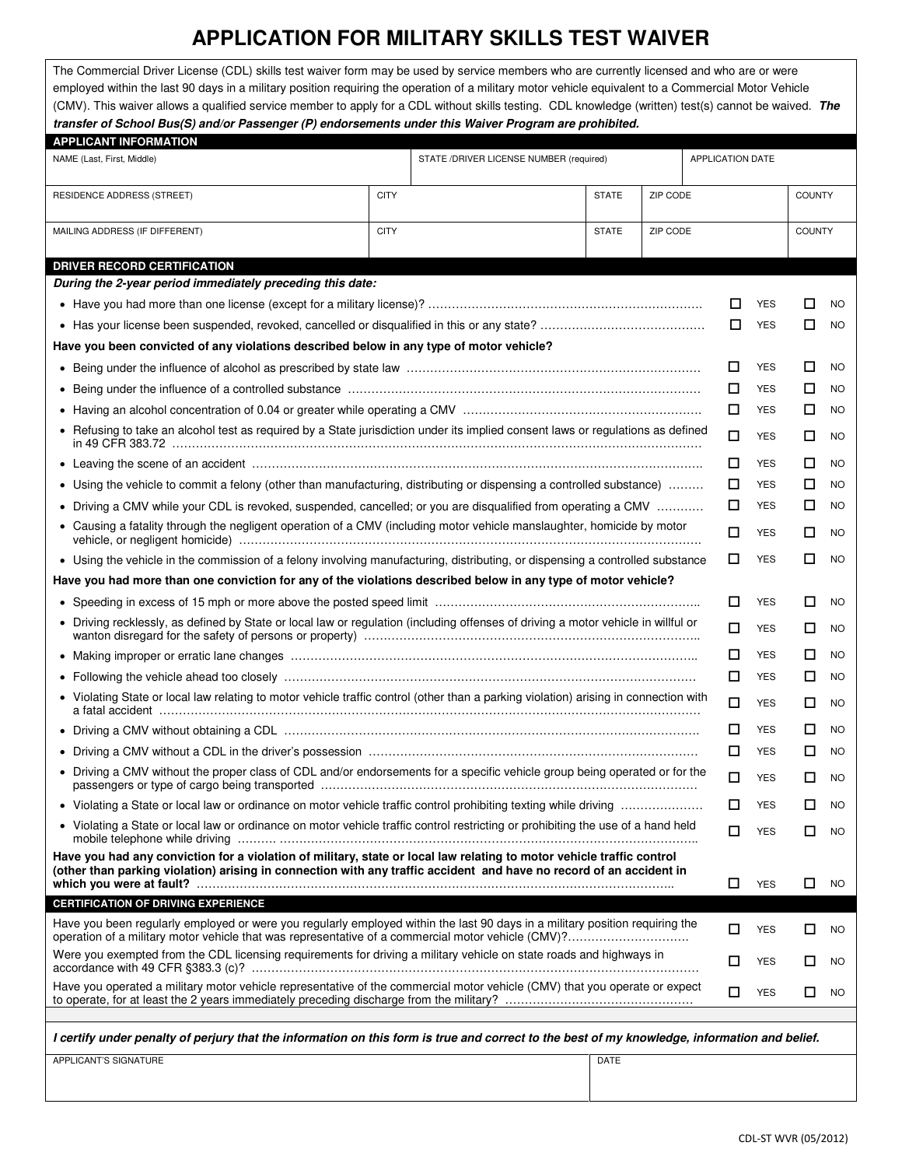## **APPLICATION FOR MILITARY SKILLS TEST WAIVER**

| The Commercial Driver License (CDL) skills test waiver form may be used by service members who are currently licensed and who are or were<br>employed within the last 90 days in a military position requiring the operation of a military motor vehicle equivalent to a Commercial Motor Vehicle<br>(CMV). This waiver allows a qualified service member to apply for a CDL without skills testing. CDL knowledge (written) test(s) cannot be waived. The<br>transfer of School Bus(S) and/or Passenger (P) endorsements under this Waiver Program are prohibited. |             |                                         |              |          |                         |               |  |
|---------------------------------------------------------------------------------------------------------------------------------------------------------------------------------------------------------------------------------------------------------------------------------------------------------------------------------------------------------------------------------------------------------------------------------------------------------------------------------------------------------------------------------------------------------------------|-------------|-----------------------------------------|--------------|----------|-------------------------|---------------|--|
| <b>APPLICANT INFORMATION</b>                                                                                                                                                                                                                                                                                                                                                                                                                                                                                                                                        |             |                                         |              |          |                         |               |  |
| NAME (Last, First, Middle)                                                                                                                                                                                                                                                                                                                                                                                                                                                                                                                                          |             | STATE /DRIVER LICENSE NUMBER (required) |              |          | <b>APPLICATION DATE</b> |               |  |
|                                                                                                                                                                                                                                                                                                                                                                                                                                                                                                                                                                     |             |                                         |              |          |                         |               |  |
| <b>RESIDENCE ADDRESS (STREET)</b>                                                                                                                                                                                                                                                                                                                                                                                                                                                                                                                                   | <b>CITY</b> |                                         | <b>STATE</b> | ZIP CODE |                         | COUNTY        |  |
|                                                                                                                                                                                                                                                                                                                                                                                                                                                                                                                                                                     |             |                                         |              |          |                         |               |  |
| MAILING ADDRESS (IF DIFFERENT)                                                                                                                                                                                                                                                                                                                                                                                                                                                                                                                                      | <b>CITY</b> |                                         | <b>STATE</b> | ZIP CODE |                         | <b>COUNTY</b> |  |

| <b>DRIVER RECORD CERTIFICATION</b>                                                                                                                                                                                                           |             |                          |        |           |  |
|----------------------------------------------------------------------------------------------------------------------------------------------------------------------------------------------------------------------------------------------|-------------|--------------------------|--------|-----------|--|
| During the 2-year period immediately preceding this date:                                                                                                                                                                                    |             |                          |        |           |  |
|                                                                                                                                                                                                                                              | □<br>$\Box$ | <b>YES</b><br><b>YES</b> | ப      | <b>NO</b> |  |
|                                                                                                                                                                                                                                              |             |                          | □      | <b>NO</b> |  |
| Have you been convicted of any violations described below in any type of motor vehicle?                                                                                                                                                      |             |                          |        |           |  |
|                                                                                                                                                                                                                                              | □           | <b>YES</b>               | □      | <b>NO</b> |  |
|                                                                                                                                                                                                                                              | □           | <b>YES</b>               | □      | <b>NO</b> |  |
|                                                                                                                                                                                                                                              |             |                          |        | <b>NO</b> |  |
| • Refusing to take an alcohol test as required by a State jurisdiction under its implied consent laws or regulations as defined                                                                                                              | □           | <b>YES</b>               | □      | <b>NO</b> |  |
|                                                                                                                                                                                                                                              |             |                          | □      | <b>NO</b> |  |
| • Using the vehicle to commit a felony (other than manufacturing, distributing or dispensing a controlled substance)                                                                                                                         | □           | <b>YES</b>               | □      | NO        |  |
| • Driving a CMV while your CDL is revoked, suspended, cancelled; or you are disqualified from operating a CMV                                                                                                                                |             |                          | □      | <b>NO</b> |  |
| • Causing a fatality through the negligent operation of a CMV (including motor vehicle manslaughter, homicide by motor                                                                                                                       | П           | <b>YES</b>               | □      | <b>NO</b> |  |
| • Using the vehicle in the commission of a felony involving manufacturing, distributing, or dispensing a controlled substance                                                                                                                | □           | <b>YES</b>               | □      | <b>NO</b> |  |
| Have you had more than one conviction for any of the violations described below in any type of motor vehicle?                                                                                                                                |             |                          |        |           |  |
|                                                                                                                                                                                                                                              | □           | <b>YES</b>               | □      | <b>NO</b> |  |
| • Driving recklessly, as defined by State or local law or regulation (including offenses of driving a motor vehicle in willful or                                                                                                            | □           | <b>YES</b>               | □      | <b>NO</b> |  |
|                                                                                                                                                                                                                                              | □           | <b>YES</b>               | □      | <b>NO</b> |  |
|                                                                                                                                                                                                                                              | □           | <b>YES</b>               | □      | <b>NO</b> |  |
| • Violating State or local law relating to motor vehicle traffic control (other than a parking violation) arising in connection with                                                                                                         | □           | <b>YES</b>               | □      | <b>NO</b> |  |
|                                                                                                                                                                                                                                              | □           | <b>YES</b>               | □      | <b>NO</b> |  |
|                                                                                                                                                                                                                                              | □           | <b>YES</b>               | □      | <b>NO</b> |  |
| • Driving a CMV without the proper class of CDL and/or endorsements for a specific vehicle group being operated or for the                                                                                                                   | □           | <b>YES</b>               | □      | <b>NO</b> |  |
| • Violating a State or local law or ordinance on motor vehicle traffic control prohibiting texting while driving                                                                                                                             | □           | <b>YES</b>               | □      | <b>NO</b> |  |
| • Violating a State or local law or ordinance on motor vehicle traffic control restricting or prohibiting the use of a hand held                                                                                                             | □           | <b>YES</b>               | □      | <b>NO</b> |  |
| Have you had any conviction for a violation of military, state or local law relating to motor vehicle traffic control<br>(other than parking violation) arising in connection with any traffic accident and have no record of an accident in | □           | <b>YES</b>               | □      | <b>NO</b> |  |
| <b>CERTIFICATION OF DRIVING EXPERIENCE</b>                                                                                                                                                                                                   |             |                          |        |           |  |
| Have you been regularly employed or were you regularly employed within the last 90 days in a military position requiring the<br>operation of a military motor vehicle that was representative of a commercial motor vehicle (CMV)?           | □           | <b>YES</b>               | $\Box$ | <b>NO</b> |  |
| Were you exempted from the CDL licensing requirements for driving a military vehicle on state roads and highways in                                                                                                                          | □           | <b>YES</b>               | □      | NO        |  |
| Have you operated a military motor vehicle representative of the commercial motor vehicle (CMV) that you operate or expect                                                                                                                   | □           | <b>YES</b>               | □      | <b>NO</b> |  |
| I certify under penalty of perjury that the information on this form is true and correct to the best of my knowledge, information and belief.                                                                                                |             |                          |        |           |  |
| APPLICANT'S SIGNATURE<br><b>DATE</b>                                                                                                                                                                                                         |             |                          |        |           |  |